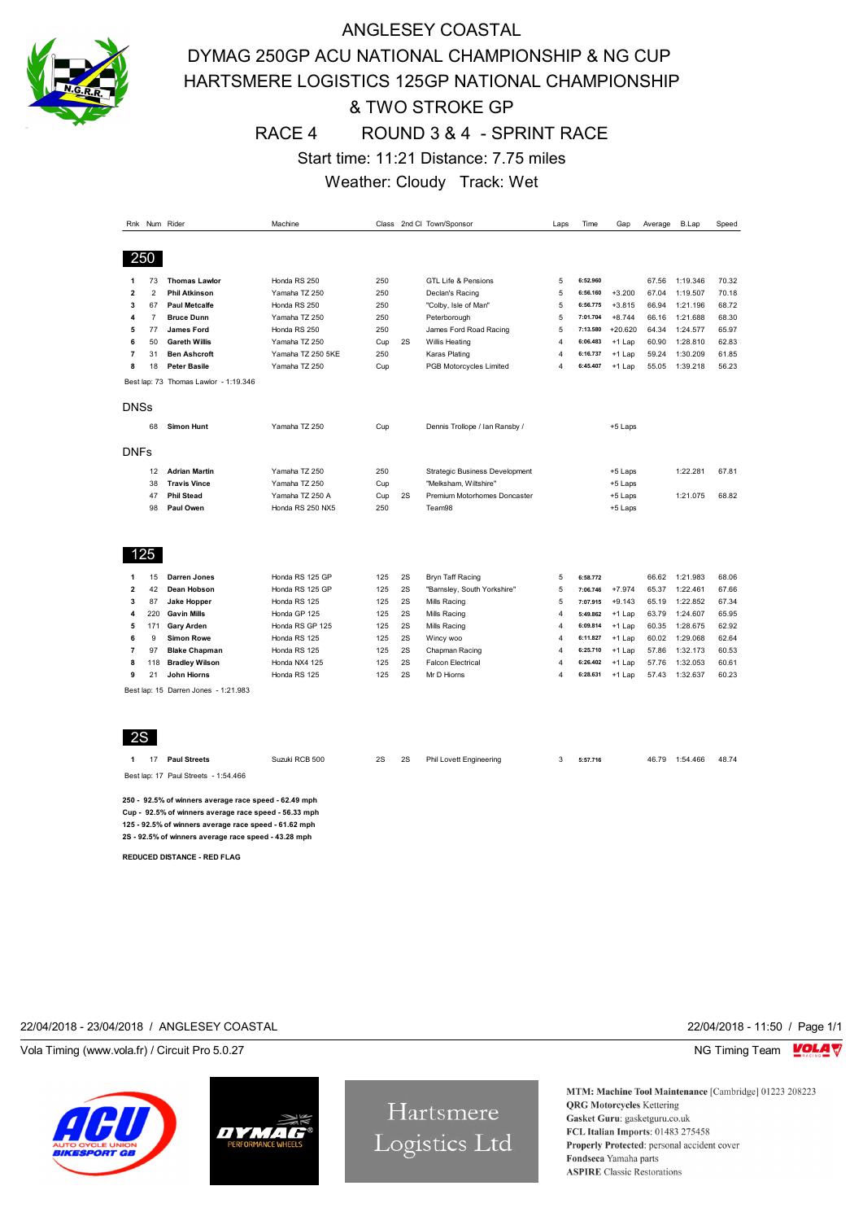

## ANGLESEY COASTAL DYMAG 250GP ACU NATIONAL CHAMPIONSHIP & NG CUP HARTSMERE LOGISTICS 125GP NATIONAL CHAMPIONSHIP & TWO STROKE GP RACE 4 ROUND 3 & 4 - SPRINT RACE Start time: 11:21 Distance: 7.75 miles Weather: Cloudy Track: Wet

|                          |                | Rnk Num Rider                         | Machine           |     | Class 2nd Cl: Town/Sponsor |                                       |                | Time     | Gap       | Average | <b>B.Lap</b> | Speed |  |
|--------------------------|----------------|---------------------------------------|-------------------|-----|----------------------------|---------------------------------------|----------------|----------|-----------|---------|--------------|-------|--|
|                          |                |                                       |                   |     |                            |                                       |                |          |           |         |              |       |  |
|                          |                |                                       |                   |     |                            |                                       |                |          |           |         |              |       |  |
|                          | 250            |                                       |                   |     |                            |                                       |                |          |           |         |              |       |  |
| 1                        | 73             | <b>Thomas Lawlor</b>                  | Honda RS 250      | 250 |                            | <b>GTL Life &amp; Pensions</b>        | 5              | 6:52.960 |           | 67.56   | 1:19.346     | 70.32 |  |
| $\overline{\mathbf{2}}$  | $\overline{2}$ | <b>Phil Atkinson</b>                  | Yamaha TZ 250     | 250 |                            | Declan's Racing                       | 5              | 6:56.160 | $+3.200$  | 67.04   | 1:19.507     | 70.18 |  |
| 3                        | 67             | <b>Paul Metcalfe</b>                  | Honda RS 250      | 250 |                            | "Colby, Isle of Man"                  | 5              | 6:56.775 | $+3.815$  | 66.94   | 1:21.196     | 68.72 |  |
| 4                        | $\overline{7}$ | <b>Bruce Dunn</b>                     | Yamaha TZ 250     | 250 |                            | Peterborough                          | 5              | 7:01.704 | $+8.744$  | 66.16   | 1:21.688     | 68.30 |  |
| 5                        | 77             | <b>James Ford</b>                     | Honda RS 250      | 250 |                            | James Ford Road Racing                | 5              | 7:13.580 | $+20.620$ | 64.34   | 1:24.577     | 65.97 |  |
| 6                        | 50             | <b>Gareth Willis</b>                  | Yamaha TZ 250     | Cup | 2S<br>Willis Heating       |                                       | $\overline{4}$ | 6:06.483 | $+1$ Lap  | 60.90   | 1:28.810     | 62.83 |  |
| $\overline{7}$           | 31             | <b>Ben Ashcroft</b>                   | Yamaha TZ 250 5KE | 250 |                            | Karas Plating                         | $\overline{4}$ | 6:16.737 | +1 Lap    | 59.24   | 1:30.209     | 61.85 |  |
| 8                        | 18             | <b>Peter Basile</b>                   | Yamaha TZ 250     | Cup |                            | PGB Motorcycles Limited               | $\overline{4}$ | 6:45.407 | +1 Lap    | 55.05   | 1:39.218     | 56.23 |  |
|                          |                | Best lap: 73 Thomas Lawlor - 1:19.346 |                   |     |                            |                                       |                |          |           |         |              |       |  |
|                          |                |                                       |                   |     |                            |                                       |                |          |           |         |              |       |  |
| <b>DNSs</b>              |                |                                       |                   |     |                            |                                       |                |          |           |         |              |       |  |
|                          |                |                                       |                   |     |                            |                                       |                |          |           |         |              |       |  |
|                          | 68             | <b>Simon Hunt</b>                     | Yamaha TZ 250     | Cup |                            | Dennis Trollope / Ian Ransby /        |                |          | +5 Laps   |         |              |       |  |
|                          |                |                                       |                   |     |                            |                                       |                |          |           |         |              |       |  |
| <b>DNFs</b>              |                |                                       |                   |     |                            |                                       |                |          |           |         |              |       |  |
|                          | 12             | <b>Adrian Martin</b>                  | Yamaha TZ 250     | 250 |                            | <b>Strategic Business Development</b> |                |          | +5 Laps   |         | 1:22.281     | 67.81 |  |
|                          | 38             | <b>Travis Vince</b>                   | Yamaha TZ 250     | Cup |                            | "Melksham, Wiltshire"                 |                |          | +5 Laps   |         |              |       |  |
|                          | 47             | <b>Phil Stead</b>                     | Yamaha TZ 250 A   | Cup | 2S                         | Premium Motorhomes Doncaster          |                |          | +5 Laps   |         | 1:21.075     | 68.82 |  |
|                          | 98             | Paul Owen                             | Honda RS 250 NX5  | 250 |                            | Team98                                |                |          | +5 Laps   |         |              |       |  |
|                          |                |                                       |                   |     |                            |                                       |                |          |           |         |              |       |  |
|                          |                |                                       |                   |     |                            |                                       |                |          |           |         |              |       |  |
|                          | 125            |                                       |                   |     |                            |                                       |                |          |           |         |              |       |  |
|                          |                |                                       |                   |     |                            |                                       |                |          |           |         |              |       |  |
| 1                        | 15             | <b>Darren Jones</b>                   | Honda RS 125 GP   | 125 | 2S                         | Bryn Taff Racing                      | 5              | 6:58.772 |           | 66.62   | 1:21.983     | 68.06 |  |
| $\overline{2}$           | 42             | Dean Hobson                           | Honda RS 125 GP   | 125 | 2S                         | "Barnsley, South Yorkshire"           | 5              | 7:06.746 | $+7.974$  | 65.37   | 1:22.461     | 67.66 |  |
| 3                        | 87             | <b>Jake Hopper</b>                    | Honda RS 125      | 125 | 2S                         | Mills Racing                          | 5              | 7:07.915 | $+9.143$  | 65.19   | 1:22.852     | 67.34 |  |
| 4                        | 220            | <b>Gavin Mills</b>                    | Honda GP 125      | 125 | 2S                         | Mills Racing                          | $\overline{4}$ | 5:49.862 | $+1$ Lap  | 63.79   | 1:24.607     | 65.95 |  |
| 5                        | 171            | <b>Gary Arden</b>                     | Honda RS GP 125   | 125 | 2S                         | Mills Racing                          | $\overline{4}$ | 6:09.814 | $+1$ Lap  | 60.35   | 1:28.675     | 62.92 |  |
| 6                        | 9              | <b>Simon Rowe</b>                     | Honda RS 125      | 125 | 2S                         | Wincy woo                             | $\overline{4}$ | 6:11.827 | $+1$ Lap  | 60.02   | 1:29.068     | 62.64 |  |
| $\overline{\phantom{a}}$ | 97             | <b>Blake Chapman</b>                  | Honda RS 125      | 125 | 2S                         | Chapman Racing                        | $\overline{4}$ | 6:25.710 | $+1$ Lap  | 57.86   | 1:32.173     | 60.53 |  |
| 8                        | 118            | <b>Bradley Wilson</b>                 | Honda NX4 125     | 125 | 2S                         | <b>Falcon Electrical</b>              | $\overline{4}$ | 6:26.402 | $+1$ Lap  | 57.76   | 1:32.053     | 60.61 |  |
| 9                        | 21             | <b>John Hiorns</b>                    | Honda RS 125      | 125 | 2S                         | Mr D Hiorns                           | $\overline{4}$ | 6:28.631 | +1 Lap    | 57.43   | 1:32.637     | 60.23 |  |
|                          |                | Best lap: 15 Darren Jones - 1:21.983  |                   |     |                            |                                       |                |          |           |         |              |       |  |
|                          |                |                                       |                   |     |                            |                                       |                |          |           |         |              |       |  |
|                          |                |                                       |                   |     |                            |                                       |                |          |           |         |              |       |  |
|                          |                |                                       |                   |     |                            |                                       |                |          |           |         |              |       |  |
| 2S                       |                |                                       |                   |     |                            |                                       |                |          |           |         |              |       |  |

**1** 17 **Paul Streets** Suzuki RCB 500 2S 2S Phil Lovett Engineering 3 **5:57.716** 46.79 1:54.466 48.74

Best lap: 17 Paul Streets - 1:54.466

**250 - 92.5% of winners average race speed - 62.49 mph Cup - 92.5% of winners average race speed - 56.33 mph 125 - 92.5% of winners average race speed - 61.62 mph 2S - 92.5% of winners average race speed - 43.28 mph**

**REDUCED DISTANCE - RED FLAG**

### 22/04/2018 - 23/04/2018 / ANGLESEY COASTAL 22/04/2018 - 11:50 / Page 1/1

Vola Timing (www.vola.fr) / Circuit Pro 5.0.27 NG Timing Team NG Timing Team NG Timing Team NG Timing Team NG





Hartsmere Logistics Ltd

MTM: Machine Tool Maintenance [Cambridge] 01223 208223 **QRG** Motorcycles Kettering Gasket Guru: gasketguru.co.uk FCL Italian Imports: 01483 275458 Properly Protected: personal accident cover Fondseca Yamaha parts **ASPIRE** Classic Restorations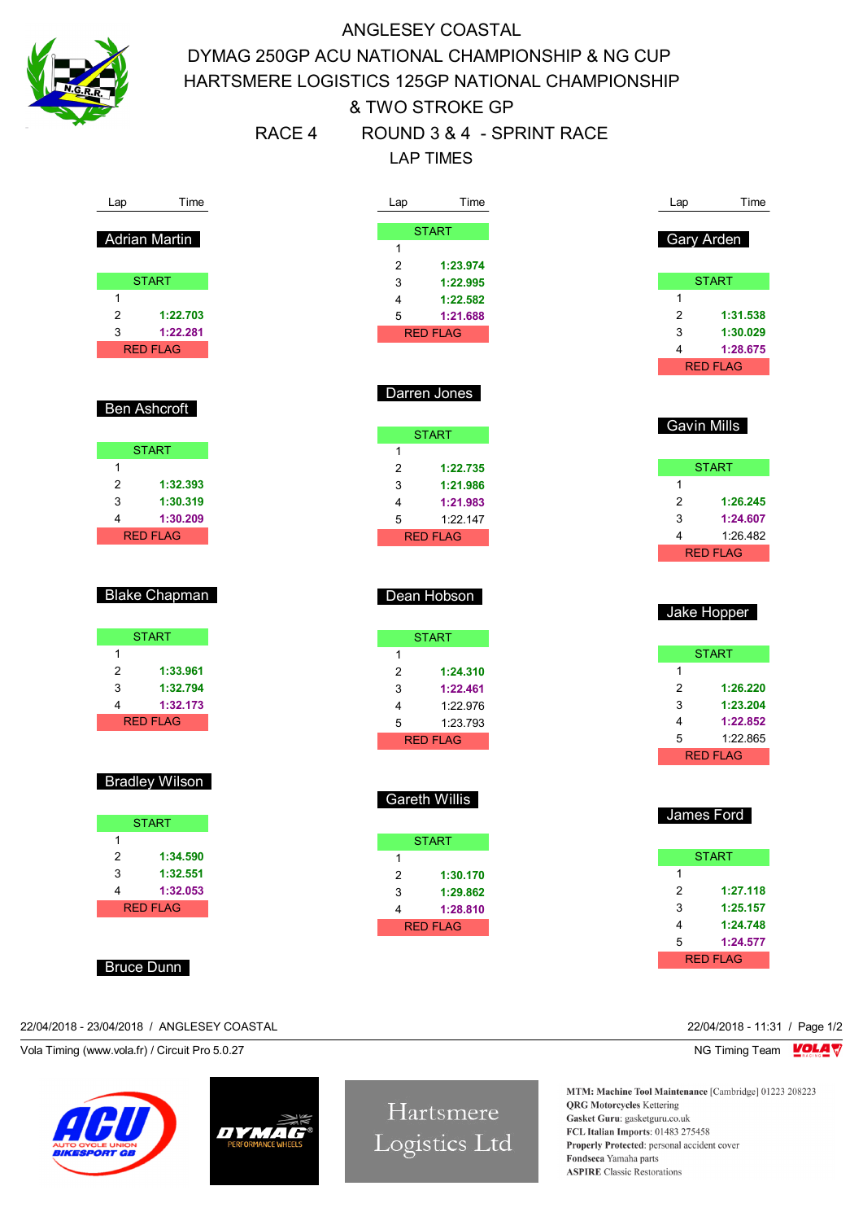

# ANGLESEY COASTAL DYMAG 250GP ACU NATIONAL CHAMPIONSHIP & NG CUP HARTSMERE LOGISTICS 125GP NATIONAL CHAMPIONSHIP & TWO STROKE GP RACE 4 ROUND 3 & 4 - SPRINT RACE LAP TIMES

| Lap                                                  | Time                        | Time<br>Lap                         | Lap             | Time               |
|------------------------------------------------------|-----------------------------|-------------------------------------|-----------------|--------------------|
|                                                      | <b>Adrian Martin</b>        | <b>START</b>                        |                 | Gary Arden         |
|                                                      |                             | $\mathbf{1}$                        |                 |                    |
|                                                      |                             | $\sqrt{2}$<br>1:23.974              |                 |                    |
| $\mathbf{1}$                                         | <b>START</b>                | 3<br>1:22.995                       | 1               | <b>START</b>       |
| $\overline{\mathbf{c}}$                              | 1:22.703                    | 4<br>1:22.582<br>5                  | 2               | 1:31.538           |
| 3                                                    | 1:22.281                    | 1:21.688<br><b>RED FLAG</b>         | 3               | 1:30.029           |
|                                                      | <b>RED FLAG</b>             |                                     | 4               | 1:28.675           |
|                                                      |                             |                                     |                 | <b>RED FLAG</b>    |
|                                                      |                             | Darren Jones                        |                 |                    |
|                                                      | <b>Ben Ashcroft</b>         |                                     |                 |                    |
|                                                      |                             | <b>START</b>                        |                 | <b>Gavin Mills</b> |
|                                                      | <b>START</b>                | $\mathbf{1}$                        |                 |                    |
| 1                                                    |                             | 2<br>1:22.735                       |                 | <b>START</b>       |
| $\overline{\mathbf{c}}$                              | 1:32.393                    | 3<br>1:21.986                       | $\mathbf{1}$    |                    |
| 3                                                    | 1:30.319                    | 1:21.983<br>4                       | 2               | 1:26.245           |
| 4                                                    | 1:30.209                    | 5<br>1:22.147                       | 3               | 1:24.607           |
|                                                      | <b>RED FLAG</b>             | <b>RED FLAG</b>                     | 4               | 1:26.482           |
|                                                      |                             |                                     |                 | <b>RED FLAG</b>    |
|                                                      |                             |                                     |                 |                    |
|                                                      | <b>Blake Chapman</b>        | Dean Hobson                         |                 |                    |
|                                                      |                             |                                     |                 | Jake Hopper        |
|                                                      | <b>START</b>                |                                     |                 |                    |
| $\mathbf{1}$                                         |                             | <b>START</b>                        |                 | <b>START</b>       |
| $\overline{2}$                                       | 1:33.961                    | $\mathbf{1}$<br>2<br>1:24.310       | $\mathbf{1}$    |                    |
| 3                                                    | 1:32.794                    | 3<br>1:22.461                       | 2               | 1:26.220           |
| 4                                                    | 1:32.173                    | 1:22.976<br>4                       | 3               | 1:23.204           |
|                                                      | <b>RED FLAG</b>             | 5<br>1:23.793                       | 4               | 1:22.852           |
|                                                      |                             | <b>RED FLAG</b>                     | 5               | 1:22.865           |
|                                                      |                             |                                     |                 | <b>RED FLAG</b>    |
|                                                      | <b>Bradley Wilson</b>       |                                     |                 |                    |
|                                                      |                             | <b>Gareth Willis</b>                |                 |                    |
|                                                      |                             |                                     |                 | James Ford         |
|                                                      | <b>START</b>                |                                     |                 |                    |
| 1                                                    |                             | <b>START</b>                        |                 |                    |
| $\overline{c}$                                       | 1:34.590                    | 1                                   |                 | <b>START</b>       |
| $\ensuremath{\mathsf{3}}$<br>$\overline{\mathbf{4}}$ | 1:32.551                    | $\sqrt{2}$<br>1:30.170              | 1<br>$\sqrt{2}$ | 1:27.118           |
|                                                      | 1:32.053<br><b>RED FLAG</b> | 3<br>1:29.862                       | 3               | 1:25.157           |
|                                                      |                             | $\overline{\mathbf{4}}$<br>1:28.810 | 4               | 1:24.748           |
|                                                      |                             | <b>RED FLAG</b>                     | 5               | 1:24.577           |
|                                                      |                             |                                     |                 | <b>RED FLAG</b>    |
| <b>Bruce Dunn</b>                                    |                             |                                     |                 |                    |
|                                                      |                             |                                     |                 |                    |
|                                                      |                             |                                     |                 |                    |

#### 22/04/2018 - 23/04/2018 / ANGLESEY COASTAL 22/04/2018 - 11:31 / Page 1/2

Vola Timing (www.vola.fr) / Circuit Pro 5.0.27 NG Timing Team NG Timing Team NG Timing Team NG Timing Team NG





Hartsmere Logistics Ltd

MTM: Machine Tool Maintenance [Cambridge] 01223 208223 **QRG** Motorcycles Kettering Gasket Guru: gasketguru.co.uk FCL Italian Imports: 01483 275458 Properly Protected: personal accident cover Fondseca Yamaha parts **ASPIRE** Classic Restorations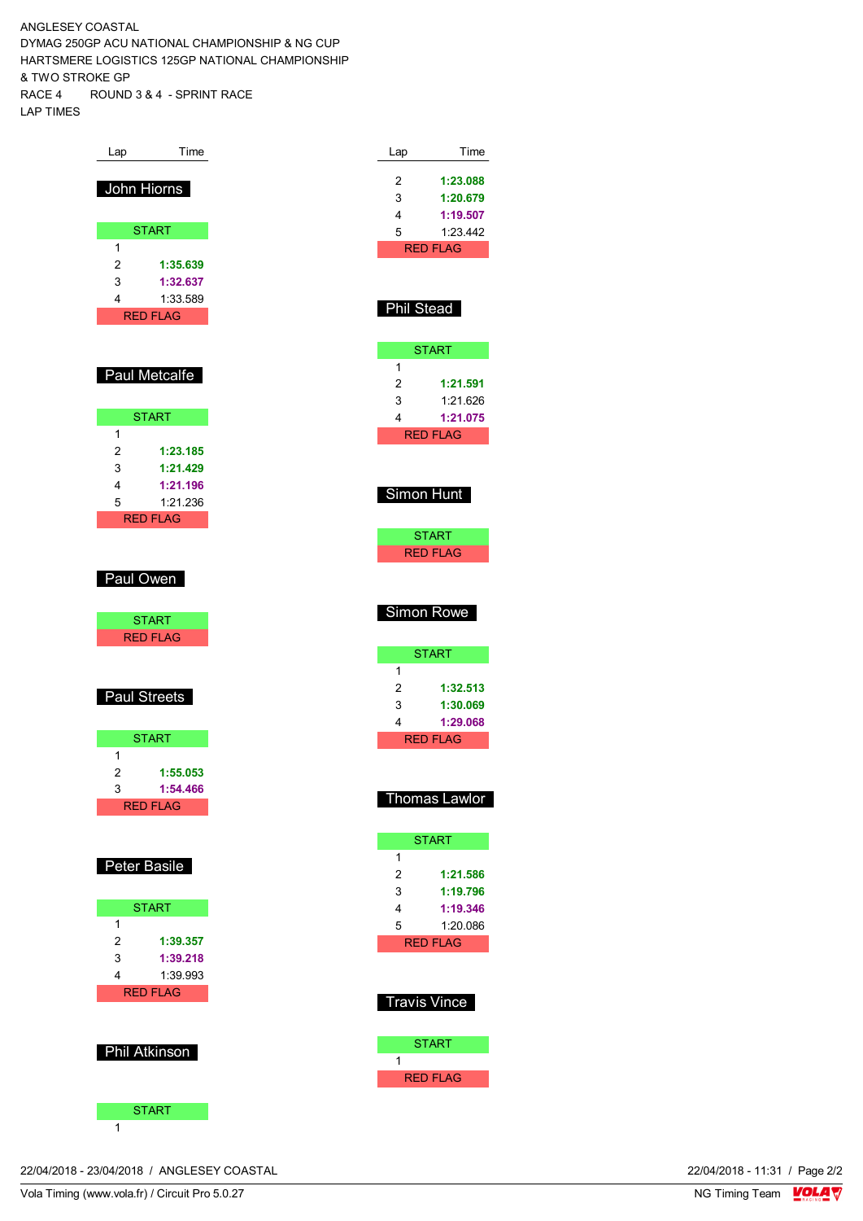ANGLESEY COASTAL DYMAG 250GP ACU NATIONAL CHAMPIONSHIP & NG CUP HARTSMERE LOGISTICS 125GP NATIONAL CHAMPIONSHIP & TWO STROKE GP RACE 4 ROUND 3 & 4 - SPRINT RACE LAP TIMES

| Lap                  | Time     |
|----------------------|----------|
| John Hiorns          |          |
|                      |          |
| <b>START</b><br>1    |          |
| $\overline{c}$       | 1:35.639 |
| 3<br>4               | 1:32.637 |
| <b>RED FLAG</b>      | 1:33.589 |
|                      |          |
| Paul Metcalfe        |          |
|                      |          |
| <b>START</b>         |          |
| 1<br>$\overline{c}$  | 1:23.185 |
| 3                    | 1:21.429 |
| 4                    | 1:21.196 |
| 5<br><b>RED FLAG</b> | 1:21.236 |
|                      |          |
|                      |          |
| Paul Owen            |          |
| <b>START</b>         |          |
| <b>RED FLAG</b>      |          |
|                      |          |
| Paul Streets         |          |
|                      |          |
| <b>START</b>         |          |
| 1<br>$\overline{c}$  | 1:55.053 |
| 3                    | 1:54.466 |
| <b>RED FLAG</b>      |          |
|                      |          |
| Peter Basile         |          |
|                      |          |
| <b>START</b>         |          |
| 1<br>$\overline{c}$  | 1:39.357 |
| 3                    | 1:39.218 |
| 4                    | 1:39.993 |
| <b>RED FLAG</b>      |          |
|                      |          |
| <b>Phil Atkinson</b> |          |
|                      |          |
| <b>START</b>         |          |

| Lap        | Time                            |
|------------|---------------------------------|
| 2          | 1:23.088                        |
| 3          | 1:20.679                        |
| 4          | 1:19.507                        |
| 5          | 1:23.442                        |
|            | <b>RED FLAG</b>                 |
|            |                                 |
| Phil Stead |                                 |
|            |                                 |
|            | <b>START</b>                    |
| 1          |                                 |
| 2          | 1:21.591                        |
| 3          | 1:21.626                        |
| 4          | 1:21.075                        |
|            | <b>RED FLAG</b>                 |
|            |                                 |
|            |                                 |
|            | Simon Hunt                      |
|            |                                 |
|            | <b>START</b><br><b>RED FLAG</b> |
|            |                                 |
|            |                                 |
|            |                                 |
|            |                                 |
|            | <b>Simon Rowe</b>               |
|            | <b>START</b>                    |
| 1          |                                 |
| 2          | 1:32.513                        |
| 3          | 1:30.069                        |
| 4          | 1:29.068                        |
|            | <b>RED FLAG</b>                 |
|            |                                 |
|            | าomas Lawlor                    |
|            |                                 |
|            | <b>START</b>                    |
| 1          |                                 |
| 2          | 1:21.586                        |
| 3          | 1:19.796                        |
| 4          | 1:19.346                        |
| 5          | 1:20.086<br><b>RED FLAG</b>     |
|            |                                 |
|            |                                 |
| ı          | Travis Vince                    |

START

RED FLAG

1

22/04/2018 - 23/04/2018 / ANGLESEY COASTAL

 $\overline{1}$